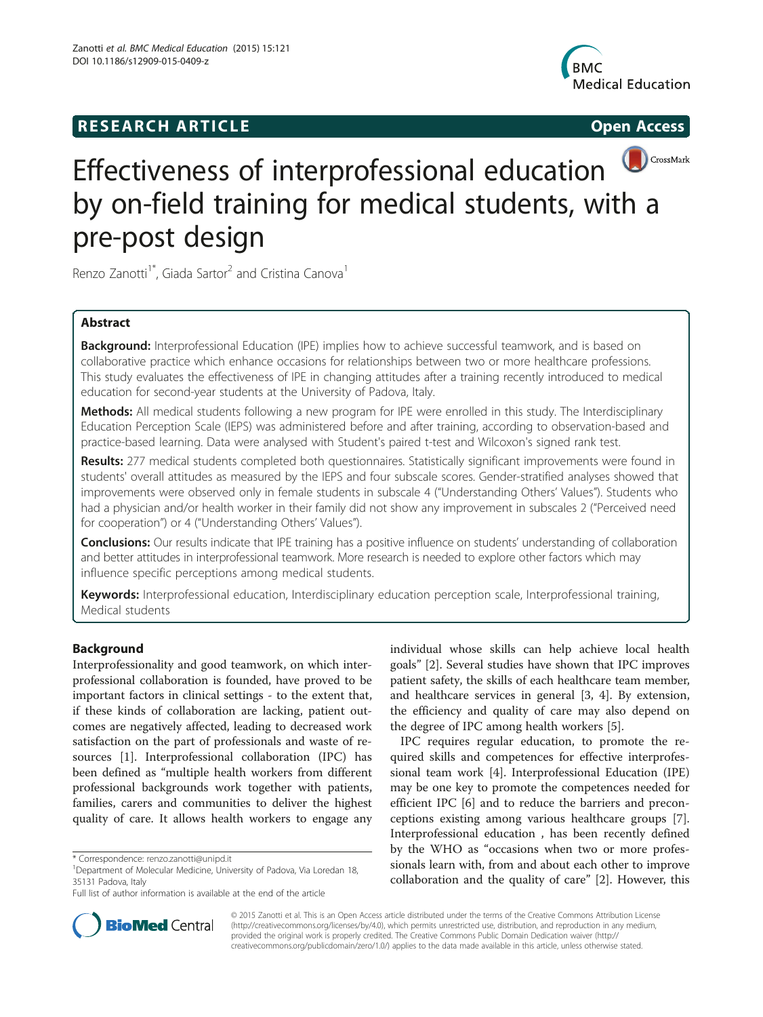## **RESEARCH ARTICLE Example 2018 12:00 Open Access**





# Effectiveness of interprofessional education by on-field training for medical students, with a pre-post design

Renzo Zanotti<sup>1\*</sup>, Giada Sartor<sup>2</sup> and Cristina Canova<sup>1</sup>

## Abstract

Background: Interprofessional Education (IPE) implies how to achieve successful teamwork, and is based on collaborative practice which enhance occasions for relationships between two or more healthcare professions. This study evaluates the effectiveness of IPE in changing attitudes after a training recently introduced to medical education for second-year students at the University of Padova, Italy.

Methods: All medical students following a new program for IPE were enrolled in this study. The Interdisciplinary Education Perception Scale (IEPS) was administered before and after training, according to observation-based and practice-based learning. Data were analysed with Student's paired t-test and Wilcoxon's signed rank test.

Results: 277 medical students completed both questionnaires. Statistically significant improvements were found in students' overall attitudes as measured by the IEPS and four subscale scores. Gender-stratified analyses showed that improvements were observed only in female students in subscale 4 ("Understanding Others' Values"). Students who had a physician and/or health worker in their family did not show any improvement in subscales 2 ("Perceived need for cooperation") or 4 ("Understanding Others' Values").

**Conclusions:** Our results indicate that IPE training has a positive influence on students' understanding of collaboration and better attitudes in interprofessional teamwork. More research is needed to explore other factors which may influence specific perceptions among medical students.

Keywords: Interprofessional education, Interdisciplinary education perception scale, Interprofessional training, Medical students

## Background

Interprofessionality and good teamwork, on which interprofessional collaboration is founded, have proved to be important factors in clinical settings - to the extent that, if these kinds of collaboration are lacking, patient outcomes are negatively affected, leading to decreased work satisfaction on the part of professionals and waste of resources [[1\]](#page-6-0). Interprofessional collaboration (IPC) has been defined as "multiple health workers from different professional backgrounds work together with patients, families, carers and communities to deliver the highest quality of care. It allows health workers to engage any

individual whose skills can help achieve local health goals" [\[2](#page-6-0)]. Several studies have shown that IPC improves patient safety, the skills of each healthcare team member, and healthcare services in general [\[3](#page-6-0), [4\]](#page-6-0). By extension, the efficiency and quality of care may also depend on the degree of IPC among health workers [\[5\]](#page-6-0).

IPC requires regular education, to promote the required skills and competences for effective interprofessional team work [\[4\]](#page-6-0). Interprofessional Education (IPE) may be one key to promote the competences needed for efficient IPC [\[6](#page-6-0)] and to reduce the barriers and preconceptions existing among various healthcare groups [\[7](#page-6-0)]. Interprofessional education , has been recently defined by the WHO as "occasions when two or more professionals learn with, from and about each other to improve collaboration and the quality of care" [[2\]](#page-6-0). However, this



© 2015 Zanotti et al. This is an Open Access article distributed under the terms of the Creative Commons Attribution License [\(http://creativecommons.org/licenses/by/4.0\)](http://creativecommons.org/licenses/by/4.0), which permits unrestricted use, distribution, and reproduction in any medium, provided the original work is properly credited. The Creative Commons Public Domain Dedication waiver [\(http://](http://creativecommons.org/publicdomain/zero/1.0/) [creativecommons.org/publicdomain/zero/1.0/\)](http://creativecommons.org/publicdomain/zero/1.0/) applies to the data made available in this article, unless otherwise stated.

<sup>\*</sup> Correspondence: [renzo.zanotti@unipd.it](mailto:renzo.zanotti@unipd.it) <sup>1</sup>

<sup>&</sup>lt;sup>1</sup>Department of Molecular Medicine, University of Padova, Via Loredan 18, 35131 Padova, Italy

Full list of author information is available at the end of the article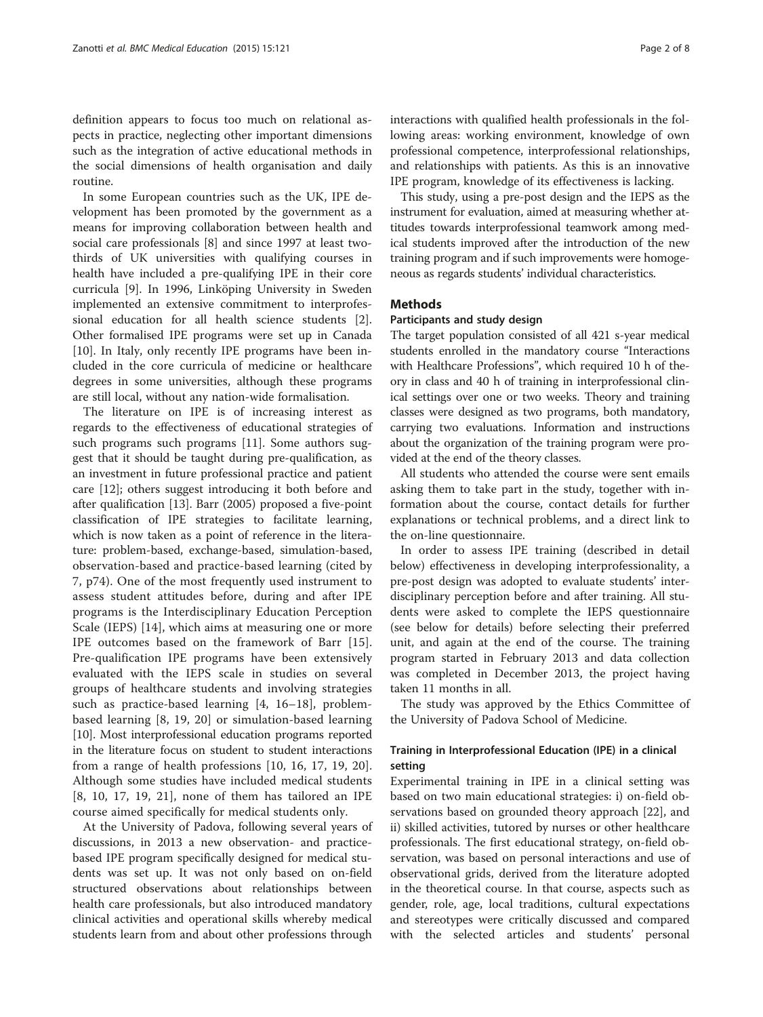definition appears to focus too much on relational aspects in practice, neglecting other important dimensions such as the integration of active educational methods in the social dimensions of health organisation and daily routine.

In some European countries such as the UK, IPE development has been promoted by the government as a means for improving collaboration between health and social care professionals [\[8](#page-6-0)] and since 1997 at least twothirds of UK universities with qualifying courses in health have included a pre-qualifying IPE in their core curricula [[9\]](#page-6-0). In 1996, Linköping University in Sweden implemented an extensive commitment to interprofessional education for all health science students [\[2](#page-6-0)]. Other formalised IPE programs were set up in Canada [[10\]](#page-6-0). In Italy, only recently IPE programs have been included in the core curricula of medicine or healthcare degrees in some universities, although these programs are still local, without any nation-wide formalisation.

The literature on IPE is of increasing interest as regards to the effectiveness of educational strategies of such programs such programs [[11\]](#page-6-0). Some authors suggest that it should be taught during pre-qualification, as an investment in future professional practice and patient care [[12](#page-6-0)]; others suggest introducing it both before and after qualification [[13\]](#page-6-0). Barr (2005) proposed a five-point classification of IPE strategies to facilitate learning, which is now taken as a point of reference in the literature: problem-based, exchange-based, simulation-based, observation-based and practice-based learning (cited by 7, p74). One of the most frequently used instrument to assess student attitudes before, during and after IPE programs is the Interdisciplinary Education Perception Scale (IEPS) [\[14](#page-6-0)], which aims at measuring one or more IPE outcomes based on the framework of Barr [\[15](#page-6-0)]. Pre-qualification IPE programs have been extensively evaluated with the IEPS scale in studies on several groups of healthcare students and involving strategies such as practice-based learning [[4, 16](#page-6-0)–[18](#page-6-0)], problembased learning [[8, 19, 20\]](#page-6-0) or simulation-based learning [[10](#page-6-0)]. Most interprofessional education programs reported in the literature focus on student to student interactions from a range of health professions [[10](#page-6-0), [16](#page-6-0), [17](#page-6-0), [19](#page-6-0), [20](#page-6-0)]. Although some studies have included medical students [[8, 10, 17, 19](#page-6-0), [21](#page-6-0)], none of them has tailored an IPE course aimed specifically for medical students only.

At the University of Padova, following several years of discussions, in 2013 a new observation- and practicebased IPE program specifically designed for medical students was set up. It was not only based on on-field structured observations about relationships between health care professionals, but also introduced mandatory clinical activities and operational skills whereby medical students learn from and about other professions through interactions with qualified health professionals in the following areas: working environment, knowledge of own professional competence, interprofessional relationships, and relationships with patients. As this is an innovative IPE program, knowledge of its effectiveness is lacking.

This study, using a pre-post design and the IEPS as the instrument for evaluation, aimed at measuring whether attitudes towards interprofessional teamwork among medical students improved after the introduction of the new training program and if such improvements were homogeneous as regards students' individual characteristics.

## Methods

## Participants and study design

The target population consisted of all 421 s-year medical students enrolled in the mandatory course "Interactions with Healthcare Professions", which required 10 h of theory in class and 40 h of training in interprofessional clinical settings over one or two weeks. Theory and training classes were designed as two programs, both mandatory, carrying two evaluations. Information and instructions about the organization of the training program were provided at the end of the theory classes.

All students who attended the course were sent emails asking them to take part in the study, together with information about the course, contact details for further explanations or technical problems, and a direct link to the on-line questionnaire.

In order to assess IPE training (described in detail below) effectiveness in developing interprofessionality, a pre-post design was adopted to evaluate students' interdisciplinary perception before and after training. All students were asked to complete the IEPS questionnaire (see below for details) before selecting their preferred unit, and again at the end of the course. The training program started in February 2013 and data collection was completed in December 2013, the project having taken 11 months in all.

The study was approved by the Ethics Committee of the University of Padova School of Medicine.

## Training in Interprofessional Education (IPE) in a clinical setting

Experimental training in IPE in a clinical setting was based on two main educational strategies: i) on-field observations based on grounded theory approach [\[22\]](#page-6-0), and ii) skilled activities, tutored by nurses or other healthcare professionals. The first educational strategy, on-field observation, was based on personal interactions and use of observational grids, derived from the literature adopted in the theoretical course. In that course, aspects such as gender, role, age, local traditions, cultural expectations and stereotypes were critically discussed and compared with the selected articles and students' personal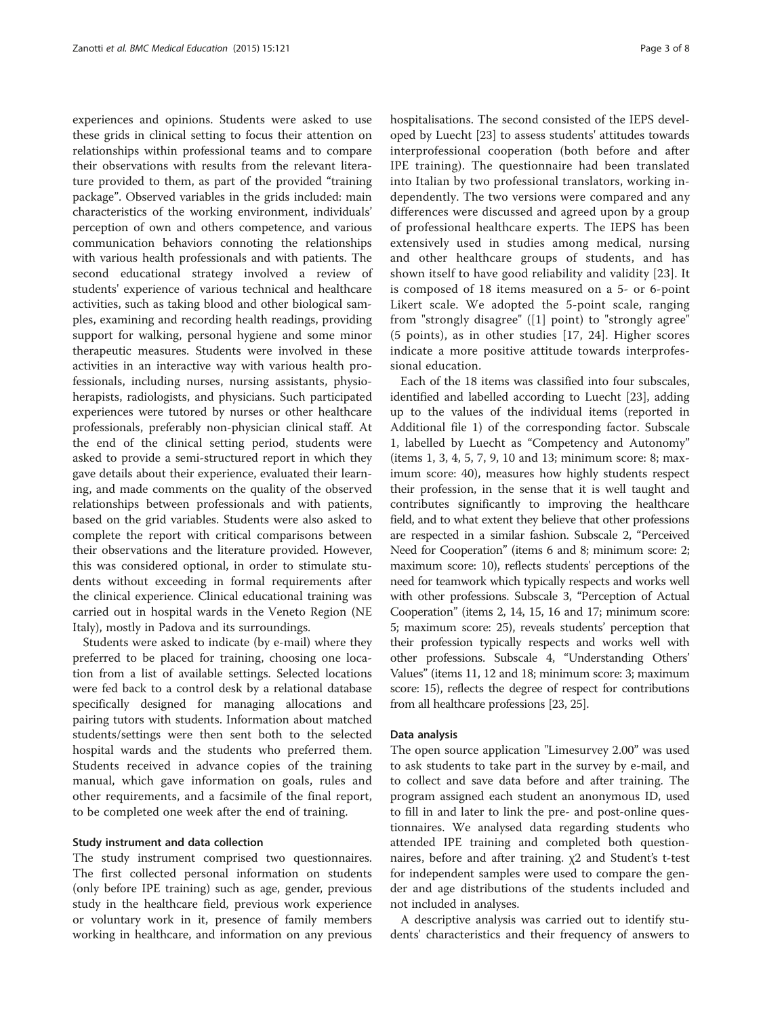experiences and opinions. Students were asked to use these grids in clinical setting to focus their attention on relationships within professional teams and to compare their observations with results from the relevant literature provided to them, as part of the provided "training package". Observed variables in the grids included: main characteristics of the working environment, individuals' perception of own and others competence, and various communication behaviors connoting the relationships with various health professionals and with patients. The second educational strategy involved a review of students' experience of various technical and healthcare activities, such as taking blood and other biological samples, examining and recording health readings, providing support for walking, personal hygiene and some minor therapeutic measures. Students were involved in these activities in an interactive way with various health professionals, including nurses, nursing assistants, physioherapists, radiologists, and physicians. Such participated experiences were tutored by nurses or other healthcare professionals, preferably non-physician clinical staff. At the end of the clinical setting period, students were asked to provide a semi-structured report in which they gave details about their experience, evaluated their learning, and made comments on the quality of the observed relationships between professionals and with patients, based on the grid variables. Students were also asked to complete the report with critical comparisons between their observations and the literature provided. However, this was considered optional, in order to stimulate students without exceeding in formal requirements after the clinical experience. Clinical educational training was carried out in hospital wards in the Veneto Region (NE Italy), mostly in Padova and its surroundings.

Students were asked to indicate (by e-mail) where they preferred to be placed for training, choosing one location from a list of available settings. Selected locations were fed back to a control desk by a relational database specifically designed for managing allocations and pairing tutors with students. Information about matched students/settings were then sent both to the selected hospital wards and the students who preferred them. Students received in advance copies of the training manual, which gave information on goals, rules and other requirements, and a facsimile of the final report, to be completed one week after the end of training.

#### Study instrument and data collection

The study instrument comprised two questionnaires. The first collected personal information on students (only before IPE training) such as age, gender, previous study in the healthcare field, previous work experience or voluntary work in it, presence of family members working in healthcare, and information on any previous hospitalisations. The second consisted of the IEPS developed by Luecht [[23](#page-6-0)] to assess students' attitudes towards interprofessional cooperation (both before and after IPE training). The questionnaire had been translated into Italian by two professional translators, working independently. The two versions were compared and any differences were discussed and agreed upon by a group of professional healthcare experts. The IEPS has been extensively used in studies among medical, nursing and other healthcare groups of students, and has shown itself to have good reliability and validity [\[23](#page-6-0)]. It is composed of 18 items measured on a 5- or 6-point Likert scale. We adopted the 5-point scale, ranging from "strongly disagree" ([[1](#page-6-0)] point) to "strongly agree" (5 points), as in other studies [[17, 24](#page-6-0)]. Higher scores indicate a more positive attitude towards interprofessional education.

Each of the 18 items was classified into four subscales, identified and labelled according to Luecht [\[23\]](#page-6-0), adding up to the values of the individual items (reported in Additional file [1\)](#page-6-0) of the corresponding factor. Subscale 1, labelled by Luecht as "Competency and Autonomy" (items 1, 3, 4, 5, 7, 9, 10 and 13; minimum score: 8; maximum score: 40), measures how highly students respect their profession, in the sense that it is well taught and contributes significantly to improving the healthcare field, and to what extent they believe that other professions are respected in a similar fashion. Subscale 2, "Perceived Need for Cooperation" (items 6 and 8; minimum score: 2; maximum score: 10), reflects students' perceptions of the need for teamwork which typically respects and works well with other professions. Subscale 3, "Perception of Actual Cooperation" (items 2, 14, 15, 16 and 17; minimum score: 5; maximum score: 25), reveals students' perception that their profession typically respects and works well with other professions. Subscale 4, "Understanding Others' Values" (items 11, 12 and 18; minimum score: 3; maximum score: 15), reflects the degree of respect for contributions from all healthcare professions [\[23, 25\]](#page-6-0).

#### Data analysis

The open source application "Limesurvey 2.00" was used to ask students to take part in the survey by e-mail, and to collect and save data before and after training. The program assigned each student an anonymous ID, used to fill in and later to link the pre- and post-online questionnaires. We analysed data regarding students who attended IPE training and completed both questionnaires, before and after training.  $χ$ 2 and Student's t-test for independent samples were used to compare the gender and age distributions of the students included and not included in analyses.

A descriptive analysis was carried out to identify students' characteristics and their frequency of answers to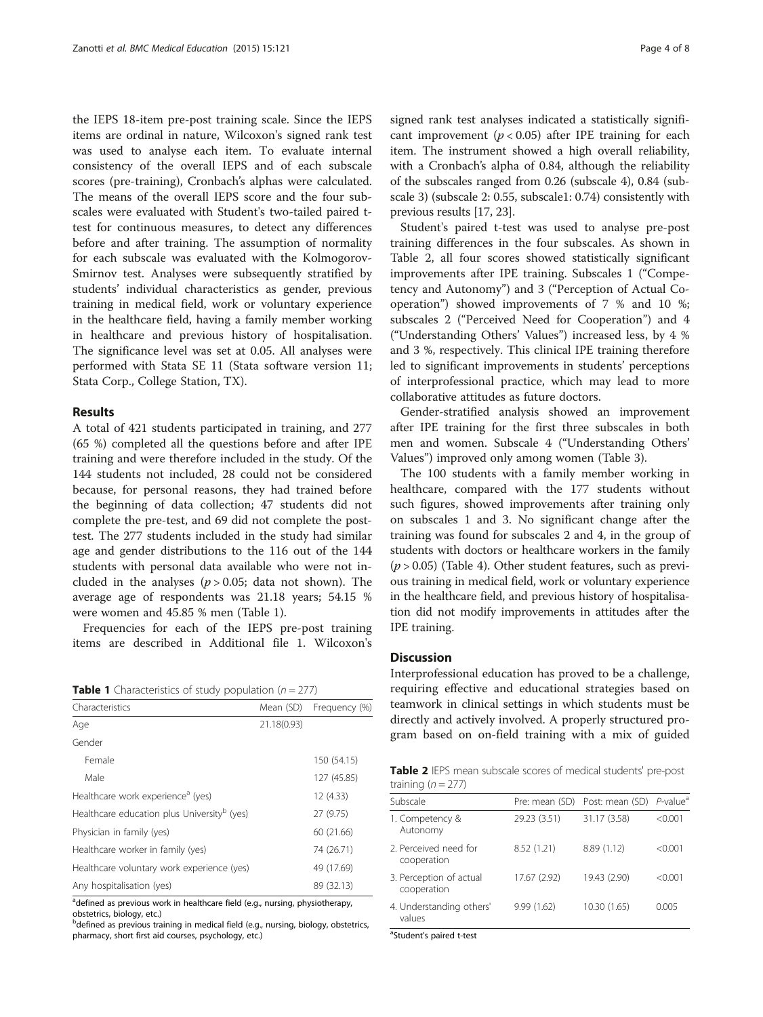the IEPS 18-item pre-post training scale. Since the IEPS items are ordinal in nature, Wilcoxon's signed rank test was used to analyse each item. To evaluate internal consistency of the overall IEPS and of each subscale scores (pre-training), Cronbach's alphas were calculated. The means of the overall IEPS score and the four subscales were evaluated with Student's two-tailed paired ttest for continuous measures, to detect any differences before and after training. The assumption of normality for each subscale was evaluated with the Kolmogorov-Smirnov test. Analyses were subsequently stratified by students' individual characteristics as gender, previous training in medical field, work or voluntary experience in the healthcare field, having a family member working in healthcare and previous history of hospitalisation. The significance level was set at 0.05. All analyses were performed with Stata SE 11 (Stata software version 11; Stata Corp., College Station, TX).

## Results

A total of 421 students participated in training, and 277 (65 %) completed all the questions before and after IPE training and were therefore included in the study. Of the 144 students not included, 28 could not be considered because, for personal reasons, they had trained before the beginning of data collection; 47 students did not complete the pre-test, and 69 did not complete the posttest. The 277 students included in the study had similar age and gender distributions to the 116 out of the 144 students with personal data available who were not included in the analyses  $(p > 0.05)$ ; data not shown). The average age of respondents was 21.18 years; 54.15 % were women and 45.85 % men (Table 1).

Frequencies for each of the IEPS pre-post training items are described in Additional file [1.](#page-6-0) Wilcoxon's

|  | <b>Table 1</b> Characteristics of study population ( $n = 277$ ) |  |  |  |
|--|------------------------------------------------------------------|--|--|--|
|--|------------------------------------------------------------------|--|--|--|

| Characteristics                                         | Mean (SD)   | Frequency (%) |
|---------------------------------------------------------|-------------|---------------|
| Age                                                     | 21.18(0.93) |               |
| Gender                                                  |             |               |
| Female                                                  |             | 150 (54.15)   |
| Male                                                    |             | 127 (45.85)   |
| Healthcare work experience <sup>a</sup> (yes)           |             | 12 (4.33)     |
| Healthcare education plus University <sup>b</sup> (yes) |             | 27 (9.75)     |
| Physician in family (yes)                               |             | 60 (21.66)    |
| Healthcare worker in family (yes)                       |             | 74 (26.71)    |
| Healthcare voluntary work experience (yes)              |             | 49 (17.69)    |
| Any hospitalisation (yes)                               |             | 89 (32.13)    |

<sup>a</sup>defined as previous work in healthcare field (e.g., nursing, physiotherapy, obstetrics, biology, etc.)

**b**defined as previous training in medical field (e.g., nursing, biology, obstetrics, pharmacy, short first aid courses, psychology, etc.)

signed rank test analyses indicated a statistically significant improvement ( $p < 0.05$ ) after IPE training for each item. The instrument showed a high overall reliability, with a Cronbach's alpha of 0.84, although the reliability of the subscales ranged from 0.26 (subscale 4), 0.84 (subscale 3) (subscale 2: 0.55, subscale1: 0.74) consistently with previous results [\[17, 23\]](#page-6-0).

Student's paired t-test was used to analyse pre-post training differences in the four subscales. As shown in Table 2, all four scores showed statistically significant improvements after IPE training. Subscales 1 ("Competency and Autonomy") and 3 ("Perception of Actual Cooperation") showed improvements of 7 % and 10 %; subscales 2 ("Perceived Need for Cooperation") and 4 ("Understanding Others' Values") increased less, by 4 % and 3 %, respectively. This clinical IPE training therefore led to significant improvements in students' perceptions of interprofessional practice, which may lead to more collaborative attitudes as future doctors.

Gender-stratified analysis showed an improvement after IPE training for the first three subscales in both men and women. Subscale 4 ("Understanding Others' Values") improved only among women (Table [3](#page-4-0)).

The 100 students with a family member working in healthcare, compared with the 177 students without such figures, showed improvements after training only on subscales 1 and 3. No significant change after the training was found for subscales 2 and 4, in the group of students with doctors or healthcare workers in the family  $(p > 0.05)$  (Table [4](#page-4-0)). Other student features, such as previous training in medical field, work or voluntary experience in the healthcare field, and previous history of hospitalisation did not modify improvements in attitudes after the IPE training.

## **Discussion**

Interprofessional education has proved to be a challenge, requiring effective and educational strategies based on teamwork in clinical settings in which students must be directly and actively involved. A properly structured program based on on-field training with a mix of guided

| Table 2 IEPS mean subscale scores of medical students' pre-post |  |  |  |  |
|-----------------------------------------------------------------|--|--|--|--|
| training $(n = 277)$                                            |  |  |  |  |

| Subscale                               |              | Pre: mean (SD) Post: mean (SD) | $P$ -value <sup>a</sup> |
|----------------------------------------|--------------|--------------------------------|-------------------------|
| 1. Competency &<br>Autonomy            | 29.23 (3.51) | 31.17 (3.58)                   | < 0.001                 |
| 2. Perceived need for<br>cooperation   | 8.52 (1.21)  | 8.89 (1.12)                    | $<$ 0.001               |
| 3. Perception of actual<br>cooperation | 17.67 (2.92) | 19.43 (2.90)                   | < 0.001                 |
| 4. Understanding others'<br>values     | 9.99(1.62)   | 10.30 (1.65)                   |                         |

<sup>a</sup>Student's paired t-test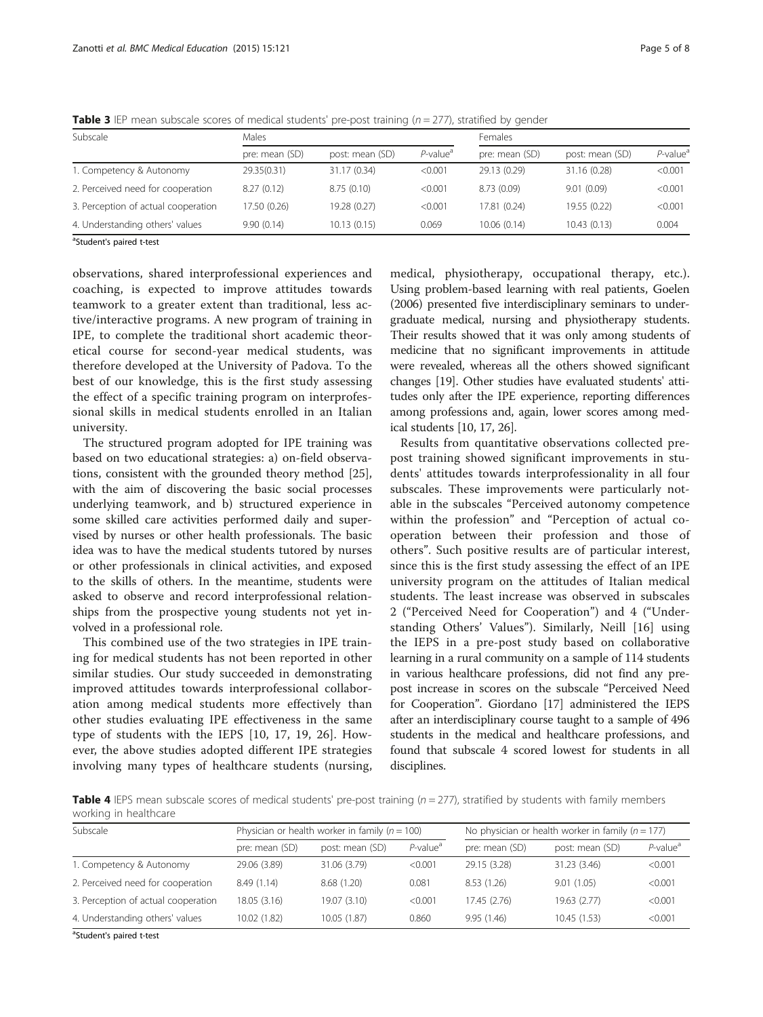| Subscale                            | Males          |                 |                      | <b>Females</b> |                 |                         |
|-------------------------------------|----------------|-----------------|----------------------|----------------|-----------------|-------------------------|
|                                     | pre: mean (SD) | post: mean (SD) | P-value <sup>a</sup> | pre: mean (SD) | post: mean (SD) | $P$ -value <sup>a</sup> |
| 1. Competency & Autonomy            | 29.35(0.31)    | 31.17 (0.34)    | < 0.001              | 29.13 (0.29)   | 31.16 (0.28)    | < 0.001                 |
| 2. Perceived need for cooperation   | 8.27(0.12)     | 8.75(0.10)      | < 0.001              | 8.73 (0.09)    | 9.01(0.09)      | < 0.001                 |
| 3. Perception of actual cooperation | 17.50 (0.26)   | 19.28 (0.27)    | < 0.001              | 17.81 (0.24)   | 19.55 (0.22)    | < 0.001                 |
| 4. Understanding others' values     | 9.90(0.14)     | 10.13(0.15)     | 0.069                | 10.06 (0.14)   | 10.43(0.13)     | 0.004                   |

<span id="page-4-0"></span>**Table 3** IEP mean subscale scores of medical students' pre-post training  $(n = 277)$ , stratified by gender

<sup>a</sup>Student's paired t-test

observations, shared interprofessional experiences and coaching, is expected to improve attitudes towards teamwork to a greater extent than traditional, less active/interactive programs. A new program of training in IPE, to complete the traditional short academic theoretical course for second-year medical students, was therefore developed at the University of Padova. To the best of our knowledge, this is the first study assessing the effect of a specific training program on interprofessional skills in medical students enrolled in an Italian university.

The structured program adopted for IPE training was based on two educational strategies: a) on-field observations, consistent with the grounded theory method [\[25](#page-6-0)], with the aim of discovering the basic social processes underlying teamwork, and b) structured experience in some skilled care activities performed daily and supervised by nurses or other health professionals. The basic idea was to have the medical students tutored by nurses or other professionals in clinical activities, and exposed to the skills of others. In the meantime, students were asked to observe and record interprofessional relationships from the prospective young students not yet involved in a professional role.

This combined use of the two strategies in IPE training for medical students has not been reported in other similar studies. Our study succeeded in demonstrating improved attitudes towards interprofessional collaboration among medical students more effectively than other studies evaluating IPE effectiveness in the same type of students with the IEPS [[10, 17](#page-6-0), [19, 26](#page-6-0)]. However, the above studies adopted different IPE strategies involving many types of healthcare students (nursing,

medical, physiotherapy, occupational therapy, etc.). Using problem-based learning with real patients, Goelen (2006) presented five interdisciplinary seminars to undergraduate medical, nursing and physiotherapy students. Their results showed that it was only among students of medicine that no significant improvements in attitude were revealed, whereas all the others showed significant changes [\[19\]](#page-6-0). Other studies have evaluated students' attitudes only after the IPE experience, reporting differences among professions and, again, lower scores among medical students [\[10, 17](#page-6-0), [26](#page-6-0)].

Results from quantitative observations collected prepost training showed significant improvements in students' attitudes towards interprofessionality in all four subscales. These improvements were particularly notable in the subscales "Perceived autonomy competence within the profession" and "Perception of actual cooperation between their profession and those of others". Such positive results are of particular interest, since this is the first study assessing the effect of an IPE university program on the attitudes of Italian medical students. The least increase was observed in subscales 2 ("Perceived Need for Cooperation") and 4 ("Understanding Others' Values"). Similarly, Neill [[16\]](#page-6-0) using the IEPS in a pre-post study based on collaborative learning in a rural community on a sample of 114 students in various healthcare professions, did not find any prepost increase in scores on the subscale "Perceived Need for Cooperation". Giordano [\[17](#page-6-0)] administered the IEPS after an interdisciplinary course taught to a sample of 496 students in the medical and healthcare professions, and found that subscale 4 scored lowest for students in all disciplines.

Table 4 IEPS mean subscale scores of medical students' pre-post training ( $n = 277$ ), stratified by students with family members working in healthcare

| Subscale                            | Physician or health worker in family ( $n = 100$ ) |                 |                         | No physician or health worker in family ( $n = 177$ ) |                 |                         |
|-------------------------------------|----------------------------------------------------|-----------------|-------------------------|-------------------------------------------------------|-----------------|-------------------------|
|                                     | pre: mean (SD)                                     | post: mean (SD) | $P$ -value <sup>a</sup> | pre: mean (SD)                                        | post: mean (SD) | $P$ -value <sup>a</sup> |
| 1. Competency & Autonomy            | 29.06 (3.89)                                       | 31.06 (3.79)    | < 0.001                 | 29.15 (3.28)                                          | 31.23 (3.46)    | < 0.001                 |
| 2. Perceived need for cooperation   | 8.49 (1.14)                                        | 8.68 (1.20)     | 0.081                   | 8.53(1.26)                                            | 9.01(1.05)      | < 0.001                 |
| 3. Perception of actual cooperation | 18.05(3.16)                                        | 19.07 (3.10)    | < 0.001                 | 17.45 (2.76)                                          | 19.63 (2.77)    | < 0.001                 |
| 4. Understanding others' values     | 10.02(1.82)                                        | 10.05 (1.87)    | 0.860                   | 9.95(1.46)                                            | 10.45(1.53)     | < 0.001                 |

<sup>a</sup>Student's paired t-test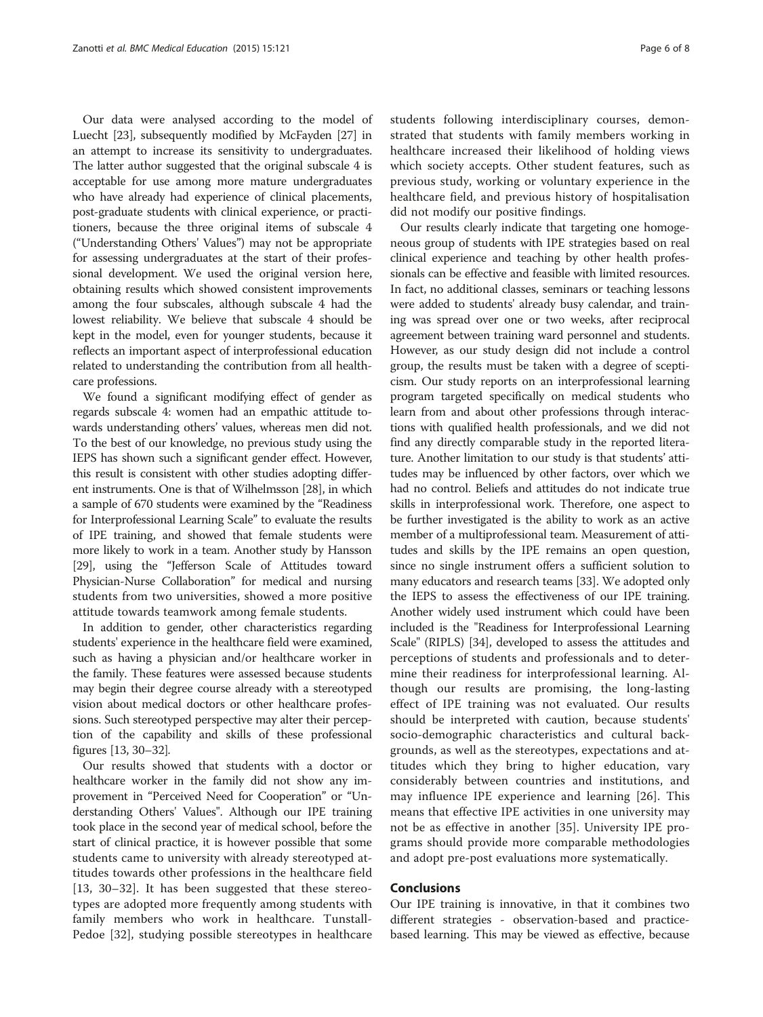Our data were analysed according to the model of Luecht [\[23\]](#page-6-0), subsequently modified by McFayden [\[27\]](#page-6-0) in an attempt to increase its sensitivity to undergraduates. The latter author suggested that the original subscale 4 is acceptable for use among more mature undergraduates who have already had experience of clinical placements, post-graduate students with clinical experience, or practitioners, because the three original items of subscale 4 ("Understanding Others' Values") may not be appropriate for assessing undergraduates at the start of their professional development. We used the original version here, obtaining results which showed consistent improvements among the four subscales, although subscale 4 had the lowest reliability. We believe that subscale 4 should be kept in the model, even for younger students, because it reflects an important aspect of interprofessional education related to understanding the contribution from all healthcare professions.

We found a significant modifying effect of gender as regards subscale 4: women had an empathic attitude towards understanding others' values, whereas men did not. To the best of our knowledge, no previous study using the IEPS has shown such a significant gender effect. However, this result is consistent with other studies adopting different instruments. One is that of Wilhelmsson [\[28](#page-6-0)], in which a sample of 670 students were examined by the "Readiness for Interprofessional Learning Scale" to evaluate the results of IPE training, and showed that female students were more likely to work in a team. Another study by Hansson [[29](#page-7-0)], using the "Jefferson Scale of Attitudes toward Physician-Nurse Collaboration" for medical and nursing students from two universities, showed a more positive attitude towards teamwork among female students.

In addition to gender, other characteristics regarding students' experience in the healthcare field were examined, such as having a physician and/or healthcare worker in the family. These features were assessed because students may begin their degree course already with a stereotyped vision about medical doctors or other healthcare professions. Such stereotyped perspective may alter their perception of the capability and skills of these professional figures [\[13,](#page-6-0) [30](#page-7-0)–[32](#page-7-0)].

Our results showed that students with a doctor or healthcare worker in the family did not show any improvement in "Perceived Need for Cooperation" or "Understanding Others' Values". Although our IPE training took place in the second year of medical school, before the start of clinical practice, it is however possible that some students came to university with already stereotyped attitudes towards other professions in the healthcare field [[13,](#page-6-0) [30](#page-7-0)–[32](#page-7-0)]. It has been suggested that these stereotypes are adopted more frequently among students with family members who work in healthcare. Tunstall-Pedoe [[32](#page-7-0)], studying possible stereotypes in healthcare

students following interdisciplinary courses, demonstrated that students with family members working in healthcare increased their likelihood of holding views which society accepts. Other student features, such as previous study, working or voluntary experience in the healthcare field, and previous history of hospitalisation did not modify our positive findings.

Our results clearly indicate that targeting one homogeneous group of students with IPE strategies based on real clinical experience and teaching by other health professionals can be effective and feasible with limited resources. In fact, no additional classes, seminars or teaching lessons were added to students' already busy calendar, and training was spread over one or two weeks, after reciprocal agreement between training ward personnel and students. However, as our study design did not include a control group, the results must be taken with a degree of scepticism. Our study reports on an interprofessional learning program targeted specifically on medical students who learn from and about other professions through interactions with qualified health professionals, and we did not find any directly comparable study in the reported literature. Another limitation to our study is that students' attitudes may be influenced by other factors, over which we had no control. Beliefs and attitudes do not indicate true skills in interprofessional work. Therefore, one aspect to be further investigated is the ability to work as an active member of a multiprofessional team. Measurement of attitudes and skills by the IPE remains an open question, since no single instrument offers a sufficient solution to many educators and research teams [[33](#page-7-0)]. We adopted only the IEPS to assess the effectiveness of our IPE training. Another widely used instrument which could have been included is the "Readiness for Interprofessional Learning Scale" (RIPLS) [\[34\]](#page-7-0), developed to assess the attitudes and perceptions of students and professionals and to determine their readiness for interprofessional learning. Although our results are promising, the long-lasting effect of IPE training was not evaluated. Our results should be interpreted with caution, because students' socio-demographic characteristics and cultural backgrounds, as well as the stereotypes, expectations and attitudes which they bring to higher education, vary considerably between countries and institutions, and may influence IPE experience and learning [[26](#page-6-0)]. This means that effective IPE activities in one university may not be as effective in another [[35\]](#page-7-0). University IPE programs should provide more comparable methodologies and adopt pre-post evaluations more systematically.

## **Conclusions**

Our IPE training is innovative, in that it combines two different strategies - observation-based and practicebased learning. This may be viewed as effective, because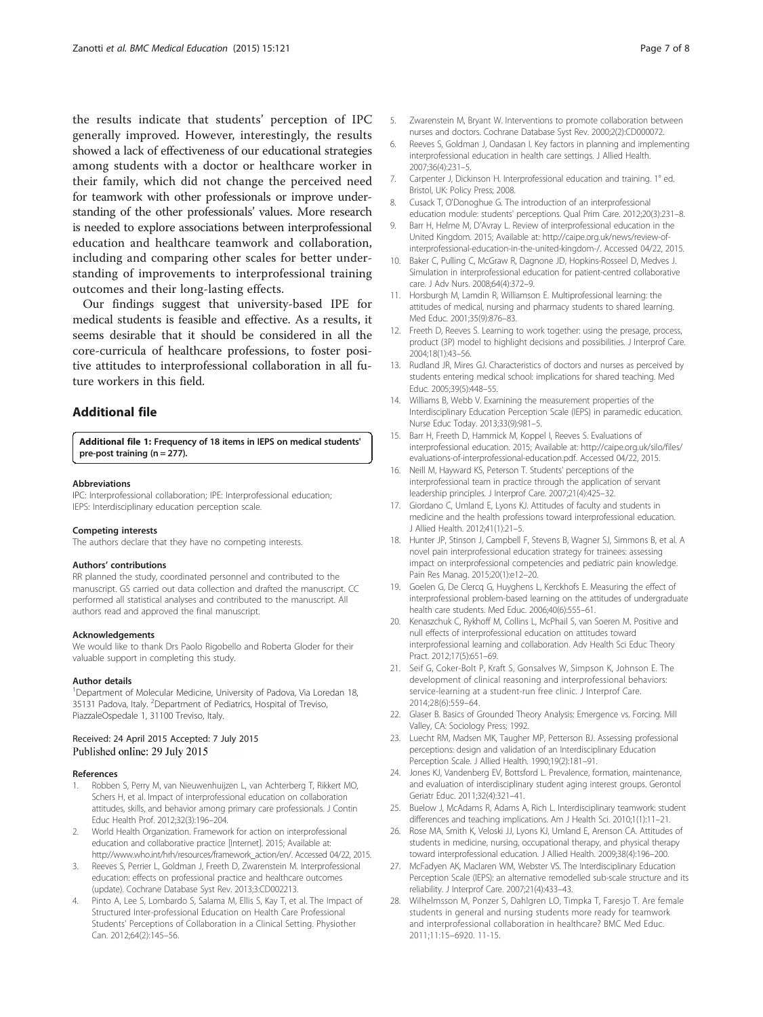<span id="page-6-0"></span>the results indicate that students' perception of IPC generally improved. However, interestingly, the results showed a lack of effectiveness of our educational strategies among students with a doctor or healthcare worker in their family, which did not change the perceived need for teamwork with other professionals or improve understanding of the other professionals' values. More research is needed to explore associations between interprofessional education and healthcare teamwork and collaboration, including and comparing other scales for better understanding of improvements to interprofessional training outcomes and their long-lasting effects.

Our findings suggest that university-based IPE for medical students is feasible and effective. As a results, it seems desirable that it should be considered in all the core-curricula of healthcare professions, to foster positive attitudes to interprofessional collaboration in all future workers in this field.

## Additional file

[Additional file 1:](http://www.biomedcentral.com/content/supplementary/s12909-015-0409-z-s1.pdf) Frequency of 18 items in IEPS on medical students' pre-post training (n = 277).

#### Abbreviations

IPC: Interprofessional collaboration; IPE: Interprofessional education; IEPS: Interdisciplinary education perception scale.

#### Competing interests

The authors declare that they have no competing interests.

#### Authors' contributions

RR planned the study, coordinated personnel and contributed to the manuscript. GS carried out data collection and drafted the manuscript. CC performed all statistical analyses and contributed to the manuscript. All authors read and approved the final manuscript.

#### Acknowledgements

We would like to thank Drs Paolo Rigobello and Roberta Gloder for their valuable support in completing this study.

#### Author details

<sup>1</sup>Department of Molecular Medicine, University of Padova, Via Loredan 18, 35131 Padova, Italy. <sup>2</sup>Department of Pediatrics, Hospital of Treviso, PiazzaleOspedale 1, 31100 Treviso, Italy.

## Received: 24 April 2015 Accepted: 7 July 2015 Published online: 29 July 2015

#### References

- 1. Robben S, Perry M, van Nieuwenhuijzen L, van Achterberg T, Rikkert MO, Schers H, et al. Impact of interprofessional education on collaboration attitudes, skills, and behavior among primary care professionals. J Contin Educ Health Prof. 2012;32(3):196–204.
- 2. World Health Organization. Framework for action on interprofessional education and collaborative practice [Internet]. 2015; Available at: [http://www.who.int/hrh/resources/framework\\_action/en/](http://www.who.int/hrh/resources/framework_action/en/). Accessed 04/22, 2015.
- 3. Reeves S, Perrier L, Goldman J, Freeth D, Zwarenstein M. Interprofessional education: effects on professional practice and healthcare outcomes (update). Cochrane Database Syst Rev. 2013;3:CD002213.
- 4. Pinto A, Lee S, Lombardo S, Salama M, Ellis S, Kay T, et al. The Impact of Structured Inter-professional Education on Health Care Professional Students' Perceptions of Collaboration in a Clinical Setting. Physiother Can. 2012;64(2):145–56.
- Zwarenstein M, Bryant W. Interventions to promote collaboration between nurses and doctors. Cochrane Database Syst Rev. 2000;2(2):CD000072.
- 6. Reeves S, Goldman J, Oandasan I. Key factors in planning and implementing interprofessional education in health care settings. J Allied Health. 2007;36(4):231–5.
- 7. Carpenter J, Dickinson H. Interprofessional education and training. 1° ed. Bristol, UK: Policy Press; 2008.
- 8. Cusack T, O'Donoghue G. The introduction of an interprofessional education module: students' perceptions. Qual Prim Care. 2012;20(3):231–8.
- 9. Barr H, Helme M, D'Avray L. Review of interprofessional education in the United Kingdom. 2015; Available at: [http://caipe.org.uk/news/review-of](http://caipe.org.uk/news/review-of-interprofessional-education-in-the-united-kingdom)[interprofessional-education-in-the-united-kingdom-](http://caipe.org.uk/news/review-of-interprofessional-education-in-the-united-kingdom)/. Accessed 04/22, 2015.
- 10. Baker C, Pulling C, McGraw R, Dagnone JD, Hopkins-Rosseel D, Medves J. Simulation in interprofessional education for patient-centred collaborative care. J Adv Nurs. 2008;64(4):372–9.
- 11. Horsburgh M, Lamdin R, Williamson E. Multiprofessional learning: the attitudes of medical, nursing and pharmacy students to shared learning. Med Educ. 2001;35(9):876–83.
- 12. Freeth D, Reeves S. Learning to work together: using the presage, process, product (3P) model to highlight decisions and possibilities. J Interprof Care. 2004;18(1):43–56.
- 13. Rudland JR, Mires GJ. Characteristics of doctors and nurses as perceived by students entering medical school: implications for shared teaching. Med Educ. 2005;39(5):448–55.
- 14. Williams B, Webb V. Examining the measurement properties of the Interdisciplinary Education Perception Scale (IEPS) in paramedic education. Nurse Educ Today. 2013;33(9):981–5.
- 15. Barr H, Freeth D, Hammick M, Koppel I, Reeves S. Evaluations of interprofessional education. 2015; Available at: [http://caipe.org.uk/silo/files/](http://caipe.org.uk/silo/files/evaluations-of-interprofessional-education.pdf) [evaluations-of-interprofessional-education.pdf.](http://caipe.org.uk/silo/files/evaluations-of-interprofessional-education.pdf) Accessed 04/22, 2015.
- 16. Neill M, Hayward KS, Peterson T. Students' perceptions of the interprofessional team in practice through the application of servant leadership principles. J Interprof Care. 2007;21(4):425–32.
- 17. Giordano C, Umland E, Lyons KJ. Attitudes of faculty and students in medicine and the health professions toward interprofessional education. J Allied Health. 2012;41(1):21–5.
- 18. Hunter JP, Stinson J, Campbell F, Stevens B, Wagner SJ, Simmons B, et al. A novel pain interprofessional education strategy for trainees: assessing impact on interprofessional competencies and pediatric pain knowledge. Pain Res Manag. 2015;20(1):e12–20.
- 19. Goelen G, De Clercq G, Huyghens L, Kerckhofs E. Measuring the effect of interprofessional problem-based learning on the attitudes of undergraduate health care students. Med Educ. 2006;40(6):555–61.
- 20. Kenaszchuk C, Rykhoff M, Collins L, McPhail S, van Soeren M. Positive and null effects of interprofessional education on attitudes toward interprofessional learning and collaboration. Adv Health Sci Educ Theory Pract. 2012;17(5):651–69.
- 21. Seif G, Coker-Bolt P, Kraft S, Gonsalves W, Simpson K, Johnson E. The development of clinical reasoning and interprofessional behaviors: service-learning at a student-run free clinic. J Interprof Care. 2014;28(6):559–64.
- 22. Glaser B. Basics of Grounded Theory Analysis: Emergence vs. Forcing. Mill Valley, CA: Sociology Press; 1992.
- 23. Luecht RM, Madsen MK, Taugher MP, Petterson BJ. Assessing professional perceptions: design and validation of an Interdisciplinary Education Perception Scale. J Allied Health. 1990;19(2):181–91.
- 24. Jones KJ, Vandenberg EV, Bottsford L. Prevalence, formation, maintenance, and evaluation of interdisciplinary student aging interest groups. Gerontol Geriatr Educ. 2011;32(4):321–41.
- 25. Buelow J, McAdams R, Adams A, Rich L. Interdisciplinary teamwork: student differences and teaching implications. Am J Health Sci. 2010;1(1):11–21.
- 26. Rose MA, Smith K, Veloski JJ, Lyons KJ, Umland E, Arenson CA. Attitudes of students in medicine, nursing, occupational therapy, and physical therapy toward interprofessional education. J Allied Health. 2009;38(4):196–200.
- 27. McFadyen AK, Maclaren WM, Webster VS. The Interdisciplinary Education Perception Scale (IEPS): an alternative remodelled sub-scale structure and its reliability. J Interprof Care. 2007;21(4):433–43.
- 28. Wilhelmsson M, Ponzer S, Dahlgren LO, Timpka T, Faresjo T. Are female students in general and nursing students more ready for teamwork and interprofessional collaboration in healthcare? BMC Med Educ. 2011;11:15–6920. 11-15.